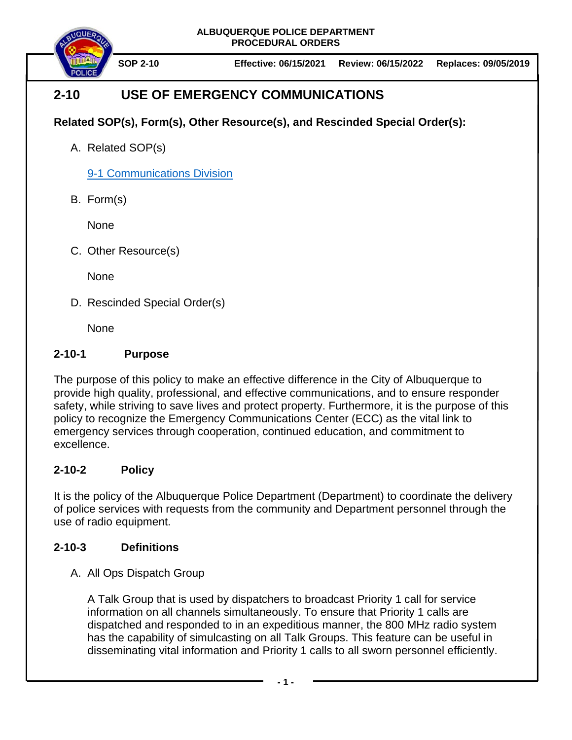

**SOP 2-10 Effective: 06/15/2021 Review: 06/15/2022 Replaces: 09/05/2019**

# **2-10 USE OF EMERGENCY COMMUNICATIONS**

## **Related SOP(s), Form(s), Other Resource(s), and Rescinded Special Order(s):**

A. Related SOP(s)

[9-1 Communications Division](https://powerdms.com/docs/324739)

B. Form(s)

None

C. Other Resource(s)

**None** 

D. Rescinded Special Order(s)

None

### **2-10-1 Purpose**

The purpose of this policy to make an effective difference in the City of Albuquerque to provide high quality, professional, and effective communications, and to ensure responder safety, while striving to save lives and protect property. Furthermore, it is the purpose of this policy to recognize the Emergency Communications Center (ECC) as the vital link to emergency services through cooperation, continued education, and commitment to excellence.

## **2-10-2 Policy**

It is the policy of the Albuquerque Police Department (Department) to coordinate the delivery of police services with requests from the community and Department personnel through the use of radio equipment.

## **2-10-3 Definitions**

A. All Ops Dispatch Group

A Talk Group that is used by dispatchers to broadcast Priority 1 call for service information on all channels simultaneously. To ensure that Priority 1 calls are dispatched and responded to in an expeditious manner, the 800 MHz radio system has the capability of simulcasting on all Talk Groups. This feature can be useful in disseminating vital information and Priority 1 calls to all sworn personnel efficiently.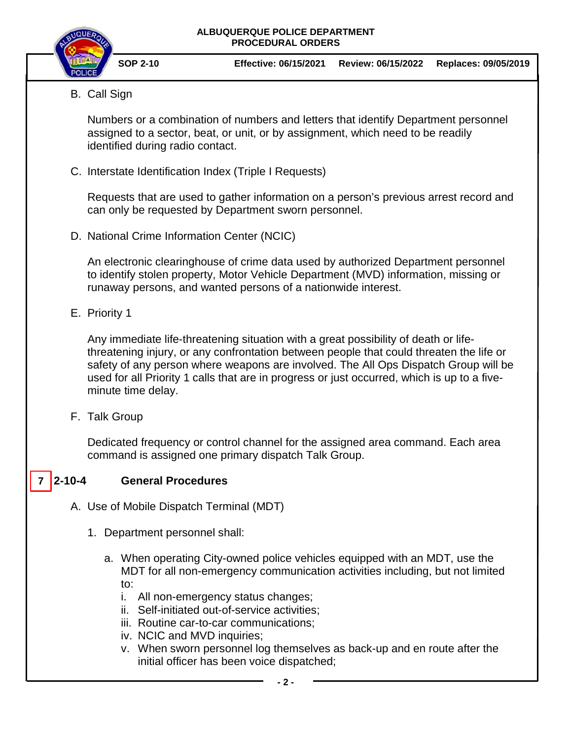

- **SOP 2-10 Effective: 06/15/2021 Review: 06/15/2022 Replaces: 09/05/2019**
- B. Call Sign

Numbers or a combination of numbers and letters that identify Department personnel assigned to a sector, beat, or unit, or by assignment, which need to be readily identified during radio contact.

C. Interstate Identification Index (Triple I Requests)

Requests that are used to gather information on a person's previous arrest record and can only be requested by Department sworn personnel.

D. National Crime Information Center (NCIC)

An electronic clearinghouse of crime data used by authorized Department personnel to identify stolen property, Motor Vehicle Department (MVD) information, missing or runaway persons, and wanted persons of a nationwide interest.

E. Priority 1

Any immediate life-threatening situation with a great possibility of death or lifethreatening injury, or any confrontation between people that could threaten the life or safety of any person where weapons are involved. The All Ops Dispatch Group will be used for all Priority 1 calls that are in progress or just occurred, which is up to a fiveminute time delay.

F. Talk Group

Dedicated frequency or control channel for the assigned area command. Each area command is assigned one primary dispatch Talk Group.

#### **2-10-4 General Procedures**   $7 \vert 2 - 10 - 4 \vert$

- A. Use of Mobile Dispatch Terminal (MDT)
	- 1. Department personnel shall:
		- a. When operating City-owned police vehicles equipped with an MDT, use the MDT for all non-emergency communication activities including, but not limited to:
			- i. All non-emergency status changes;
			- ii. Self-initiated out-of-service activities;
			- iii. Routine car-to-car communications;
			- iv. NCIC and MVD inquiries;
			- v. When sworn personnel log themselves as back-up and en route after the initial officer has been voice dispatched;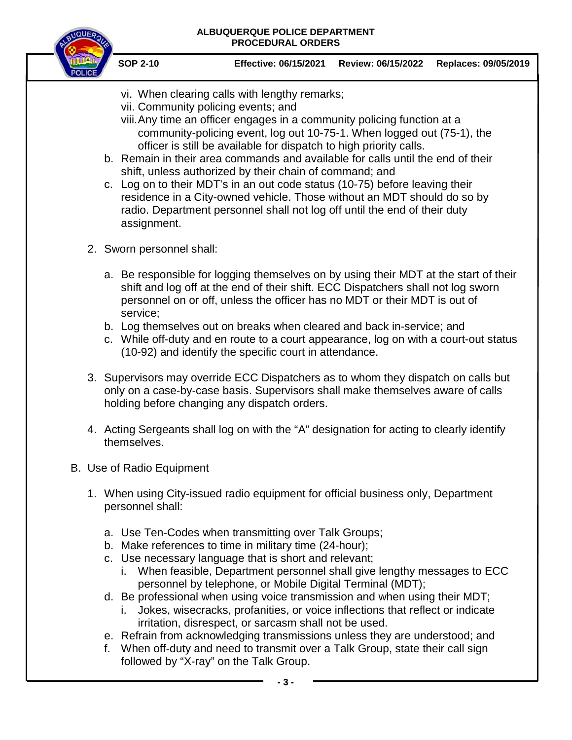

- vi. When clearing calls with lengthy remarks;
- vii. Community policing events; and
- viii.Any time an officer engages in a community policing function at a community-policing event, log out 10-75-1. When logged out (75-1), the officer is still be available for dispatch to high priority calls.
- b. Remain in their area commands and available for calls until the end of their shift, unless authorized by their chain of command; and
- c. Log on to their MDT's in an out code status (10-75) before leaving their residence in a City-owned vehicle. Those without an MDT should do so by radio. Department personnel shall not log off until the end of their duty assignment.
- 2. Sworn personnel shall:
	- a. Be responsible for logging themselves on by using their MDT at the start of their shift and log off at the end of their shift. ECC Dispatchers shall not log sworn personnel on or off, unless the officer has no MDT or their MDT is out of service;
	- b. Log themselves out on breaks when cleared and back in-service; and
	- c. While off-duty and en route to a court appearance, log on with a court-out status (10-92) and identify the specific court in attendance.
- 3. Supervisors may override ECC Dispatchers as to whom they dispatch on calls but only on a case-by-case basis. Supervisors shall make themselves aware of calls holding before changing any dispatch orders.
- 4. Acting Sergeants shall log on with the "A" designation for acting to clearly identify themselves.
- B. Use of Radio Equipment
	- 1. When using City-issued radio equipment for official business only, Department personnel shall:
		- a. Use Ten-Codes when transmitting over Talk Groups;
		- b. Make references to time in military time (24-hour);
		- c. Use necessary language that is short and relevant;
			- i. When feasible, Department personnel shall give lengthy messages to ECC personnel by telephone, or Mobile Digital Terminal (MDT);
		- d. Be professional when using voice transmission and when using their MDT;
			- i. Jokes, wisecracks, profanities, or voice inflections that reflect or indicate irritation, disrespect, or sarcasm shall not be used.
		- e. Refrain from acknowledging transmissions unless they are understood; and
		- f. When off-duty and need to transmit over a Talk Group, state their call sign followed by "X-ray" on the Talk Group.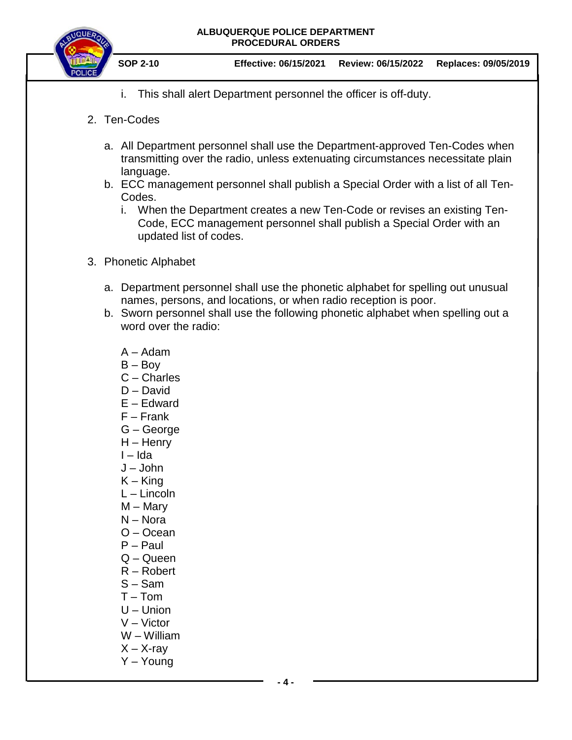

- i. This shall alert Department personnel the officer is off-duty.
- 2. Ten-Codes
	- a. All Department personnel shall use the Department-approved Ten-Codes when transmitting over the radio, unless extenuating circumstances necessitate plain language.
	- b. ECC management personnel shall publish a Special Order with a list of all Ten-Codes.
		- i. When the Department creates a new Ten-Code or revises an existing Ten-Code, ECC management personnel shall publish a Special Order with an updated list of codes.
- 3. Phonetic Alphabet
	- a. Department personnel shall use the phonetic alphabet for spelling out unusual names, persons, and locations, or when radio reception is poor.
	- b. Sworn personnel shall use the following phonetic alphabet when spelling out a word over the radio:
		- A Adam
		- $B Boy$
		- C Charles
		- D David
		- E Edward
		- F Frank
		- G George
		- H Henry
		- I Ida
		- J John
		- $K King$
		- L Lincoln
		- M Mary
		- N Nora
		- O Ocean
		- P Paul
		- Q Queen
		- R Robert
		- S Sam
		- T Tom
		- U Union
		- V Victor
		- W William
		- $X X$ -ray
		- Y Young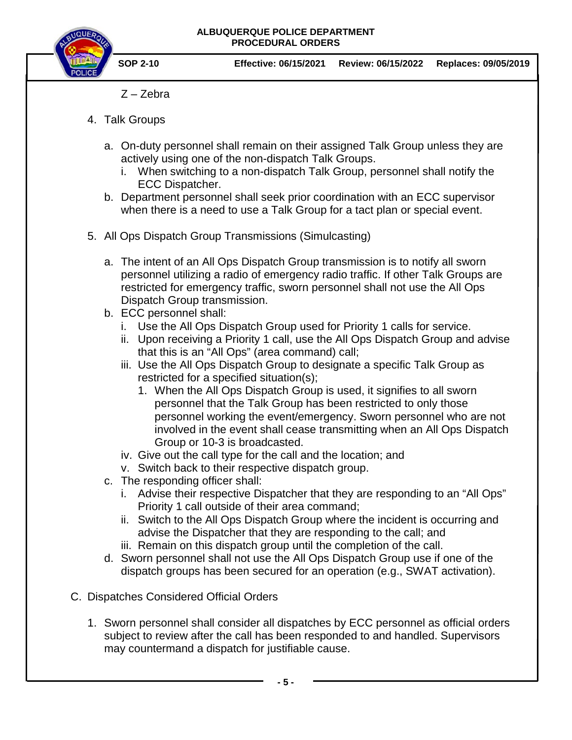

- Z Zebra
- 4. Talk Groups
	- a. On-duty personnel shall remain on their assigned Talk Group unless they are actively using one of the non-dispatch Talk Groups.
		- i. When switching to a non-dispatch Talk Group, personnel shall notify the ECC Dispatcher.
	- b. Department personnel shall seek prior coordination with an ECC supervisor when there is a need to use a Talk Group for a tact plan or special event.
- 5. All Ops Dispatch Group Transmissions (Simulcasting)
	- a. The intent of an All Ops Dispatch Group transmission is to notify all sworn personnel utilizing a radio of emergency radio traffic. If other Talk Groups are restricted for emergency traffic, sworn personnel shall not use the All Ops Dispatch Group transmission.
	- b. ECC personnel shall:
		- i. Use the All Ops Dispatch Group used for Priority 1 calls for service.
		- ii. Upon receiving a Priority 1 call, use the All Ops Dispatch Group and advise that this is an "All Ops" (area command) call;
		- iii. Use the All Ops Dispatch Group to designate a specific Talk Group as restricted for a specified situation(s);
			- 1. When the All Ops Dispatch Group is used, it signifies to all sworn personnel that the Talk Group has been restricted to only those personnel working the event/emergency. Sworn personnel who are not involved in the event shall cease transmitting when an All Ops Dispatch Group or 10-3 is broadcasted.
		- iv. Give out the call type for the call and the location; and
		- v. Switch back to their respective dispatch group.
	- c. The responding officer shall:
		- i. Advise their respective Dispatcher that they are responding to an "All Ops" Priority 1 call outside of their area command;
		- ii. Switch to the All Ops Dispatch Group where the incident is occurring and advise the Dispatcher that they are responding to the call; and
		- iii. Remain on this dispatch group until the completion of the call.
	- d. Sworn personnel shall not use the All Ops Dispatch Group use if one of the dispatch groups has been secured for an operation (e.g., SWAT activation).
- C. Dispatches Considered Official Orders
	- 1. Sworn personnel shall consider all dispatches by ECC personnel as official orders subject to review after the call has been responded to and handled. Supervisors may countermand a dispatch for justifiable cause.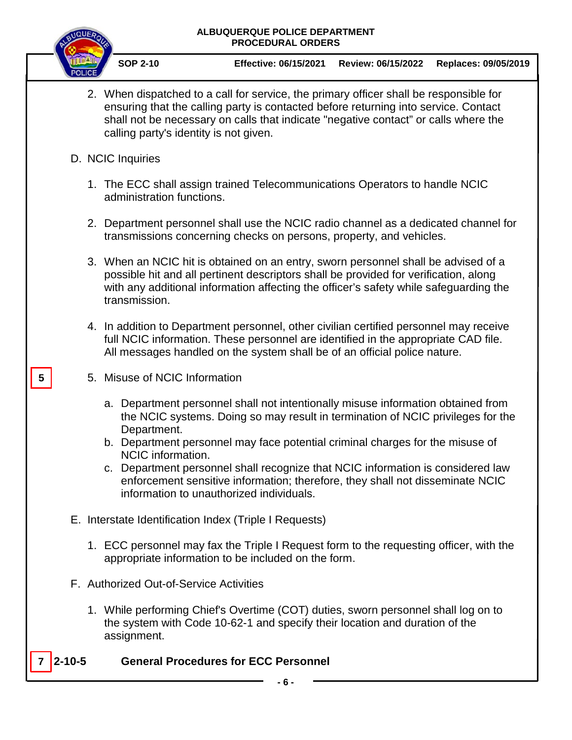

**5**

**SOP 2-10 Effective: 06/15/2021 Review: 06/15/2022 Replaces: 09/05/2019**

- 2. When dispatched to a call for service, the primary officer shall be responsible for ensuring that the calling party is contacted before returning into service. Contact shall not be necessary on calls that indicate "negative contact" or calls where the calling party's identity is not given.
- D. NCIC Inquiries
	- 1. The ECC shall assign trained Telecommunications Operators to handle NCIC administration functions.
	- 2. Department personnel shall use the NCIC radio channel as a dedicated channel for transmissions concerning checks on persons, property, and vehicles.
	- 3. When an NCIC hit is obtained on an entry, sworn personnel shall be advised of a possible hit and all pertinent descriptors shall be provided for verification, along with any additional information affecting the officer's safety while safeguarding the transmission.
	- 4. In addition to Department personnel, other civilian certified personnel may receive full NCIC information. These personnel are identified in the appropriate CAD file. All messages handled on the system shall be of an official police nature.
	- 5. Misuse of NCIC Information
		- a. Department personnel shall not intentionally misuse information obtained from the NCIC systems. Doing so may result in termination of NCIC privileges for the Department.
		- b. Department personnel may face potential criminal charges for the misuse of NCIC information.
		- c. Department personnel shall recognize that NCIC information is considered law enforcement sensitive information; therefore, they shall not disseminate NCIC information to unauthorized individuals.
- E. Interstate Identification Index (Triple I Requests)
	- 1. ECC personnel may fax the Triple I Request form to the requesting officer, with the appropriate information to be included on the form.
- F. Authorized Out-of-Service Activities
	- 1. While performing Chief's Overtime (COT) duties, sworn personnel shall log on to the system with Code 10-62-1 and specify their location and duration of the assignment.

#### **2-10-5 General Procedures for ECC Personnel 7**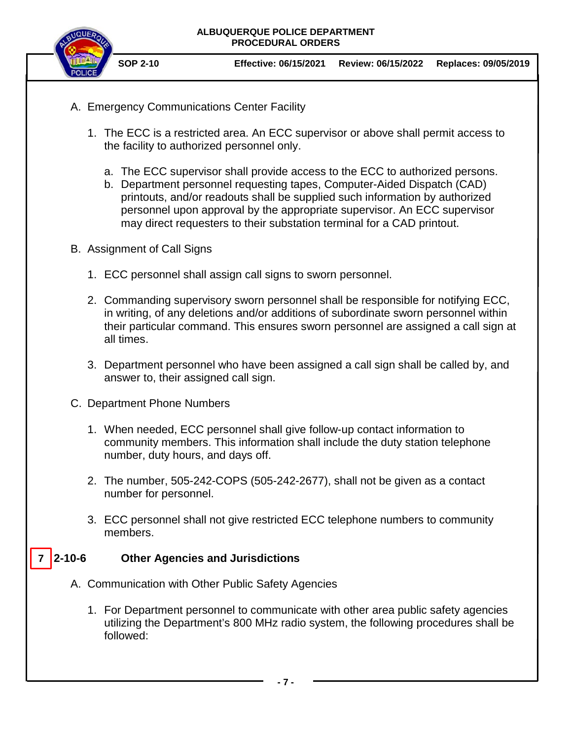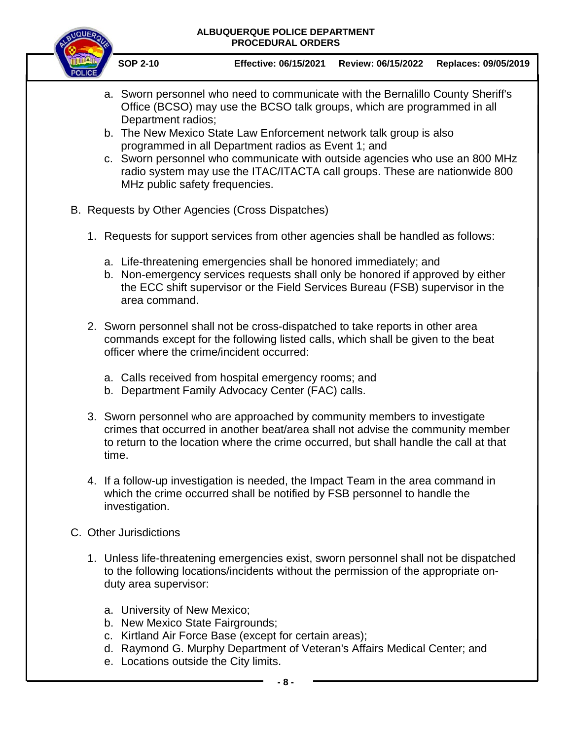

- a. Sworn personnel who need to communicate with the Bernalillo County Sheriff's Office (BCSO) may use the BCSO talk groups, which are programmed in all Department radios;
- b. The New Mexico State Law Enforcement network talk group is also programmed in all Department radios as Event 1; and
- c. Sworn personnel who communicate with outside agencies who use an 800 MHz radio system may use the ITAC/ITACTA call groups. These are nationwide 800 MHz public safety frequencies.
- B. Requests by Other Agencies (Cross Dispatches)
	- 1. Requests for support services from other agencies shall be handled as follows:
		- a. Life-threatening emergencies shall be honored immediately; and
		- b. Non-emergency services requests shall only be honored if approved by either the ECC shift supervisor or the Field Services Bureau (FSB) supervisor in the area command.
	- 2. Sworn personnel shall not be cross-dispatched to take reports in other area commands except for the following listed calls, which shall be given to the beat officer where the crime/incident occurred:
		- a. Calls received from hospital emergency rooms; and
		- b. Department Family Advocacy Center (FAC) calls.
	- 3. Sworn personnel who are approached by community members to investigate crimes that occurred in another beat/area shall not advise the community member to return to the location where the crime occurred, but shall handle the call at that time.
	- 4. If a follow-up investigation is needed, the Impact Team in the area command in which the crime occurred shall be notified by FSB personnel to handle the investigation.
- C. Other Jurisdictions
	- 1. Unless life-threatening emergencies exist, sworn personnel shall not be dispatched to the following locations/incidents without the permission of the appropriate onduty area supervisor:
		- a. University of New Mexico;
		- b. New Mexico State Fairgrounds;
		- c. Kirtland Air Force Base (except for certain areas);
		- d. Raymond G. Murphy Department of Veteran's Affairs Medical Center; and
		- e. Locations outside the City limits.